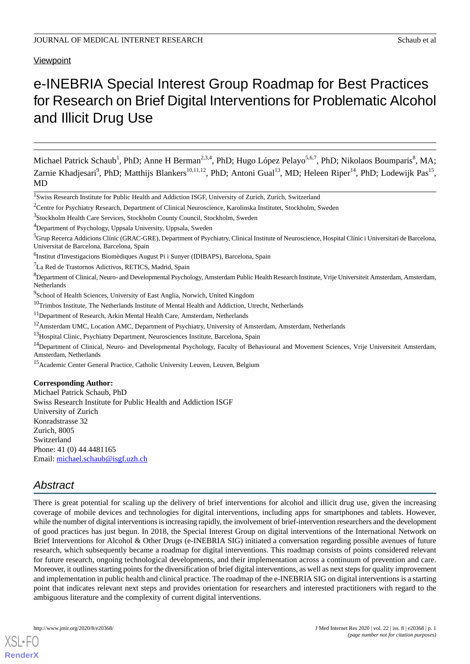**Viewpoint** 

# e-INEBRIA Special Interest Group Roadmap for Best Practices for Research on Brief Digital Interventions for Problematic Alcohol and Illicit Drug Use

Michael Patrick Schaub<sup>1</sup>, PhD; Anne H Berman<sup>2,3,4</sup>, PhD; Hugo López Pelayo<sup>5,6,7</sup>, PhD; Nikolaos Boumparis<sup>8</sup>, MA; Zarnie Khadjesari<sup>9</sup>, PhD; Matthijs Blankers<sup>10,11,12</sup>, PhD; Antoni Gual<sup>13</sup>, MD; Heleen Riper<sup>14</sup>, PhD; Lodewijk Pas<sup>15</sup>, MD

<sup>2</sup>Centre for Psychiatry Research, Department of Clinical Neuroscience, Karolinska Institutet, Stockholm, Sweden

<sup>8</sup>Department of Clinical, Neuro- and Developmental Psychology, Amsterdam Public Health Research Institute, Vrije Universiteit Amsterdam, Amsterdam, Netherlands

- <sup>11</sup>Department of Research, Arkin Mental Health Care, Amsterdam, Netherlands
- <sup>12</sup>Amsterdam UMC, Location AMC, Department of Psychiatry, University of Amsterdam, Amsterdam, Netherlands
- <sup>13</sup>Hospital Clinic, Psychiatry Department, Neurosciences Institute, Barcelona, Spain

## **Corresponding Author:**

Michael Patrick Schaub, PhD Swiss Research Institute for Public Health and Addiction ISGF University of Zurich Konradstrasse 32 Zurich, 8005 Switzerland Phone: 41 (0) 44 4481165 Email: [michael.schaub@isgf.uzh.ch](mailto:michael.schaub@isgf.uzh.ch)

# *Abstract*

There is great potential for scaling up the delivery of brief interventions for alcohol and illicit drug use, given the increasing coverage of mobile devices and technologies for digital interventions, including apps for smartphones and tablets. However, while the number of digital interventions is increasing rapidly, the involvement of brief-intervention researchers and the development of good practices has just begun. In 2018, the Special Interest Group on digital interventions of the International Network on Brief Interventions for Alcohol & Other Drugs (e-INEBRIA SIG) initiated a conversation regarding possible avenues of future research, which subsequently became a roadmap for digital interventions. This roadmap consists of points considered relevant for future research, ongoing technological developments, and their implementation across a continuum of prevention and care. Moreover, it outlines starting points for the diversification of brief digital interventions, as well as next steps for quality improvement and implementation in public health and clinical practice. The roadmap of the e-INEBRIA SIG on digital interventions is a starting point that indicates relevant next steps and provides orientation for researchers and interested practitioners with regard to the ambiguous literature and the complexity of current digital interventions.

[XSL](http://www.w3.org/Style/XSL)•FO **[RenderX](http://www.renderx.com/)**

<sup>&</sup>lt;sup>1</sup>Swiss Research Institute for Public Health and Addiction ISGF, University of Zurich, Zurich, Switzerland

<sup>&</sup>lt;sup>3</sup>Stockholm Health Care Services, Stockholm County Council, Stockholm, Sweden

<sup>4</sup>Department of Psychology, Uppsala University, Uppsala, Sweden

 ${}^{5}$ Grup Recerca Addicions Clínic (GRAC-GRE), Department of Psychiatry, Clinical Institute of Neuroscience, Hospital Clínic i Universitari de Barcelona, Universitat de Barcelona, Barcelona, Spain

<sup>&</sup>lt;sup>6</sup>Institut d'Investigacions Biomèdiques August Pi i Sunyer (IDIBAPS), Barcelona, Spain

<sup>7</sup>La Red de Trastornos Adictivos, RETICS, Madrid, Spain

<sup>&</sup>lt;sup>9</sup>School of Health Sciences, University of East Anglia, Norwich, United Kingdom

 $10$ Trimbos Institute, The Netherlands Institute of Mental Health and Addiction, Utrecht, Netherlands

<sup>&</sup>lt;sup>14</sup>Department of Clinical, Neuro- and Developmental Psychology, Faculty of Behavioural and Movement Sciences, Vrije Universiteit Amsterdam, Amsterdam, Netherlands

<sup>&</sup>lt;sup>15</sup> Academic Center General Practice, Catholic University Leuven, Leuven, Belgium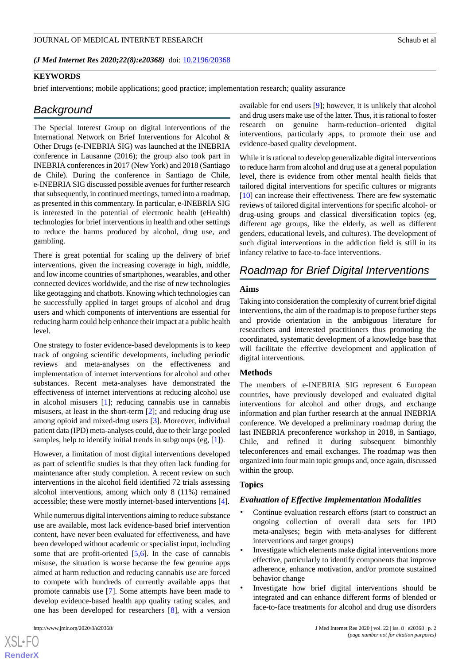#### JOURNAL OF MEDICAL INTERNET RESEARCH Schaub et al. Schaub et al.

*(J Med Internet Res 2020;22(8):e20368)* doi: [10.2196/20368](http://dx.doi.org/10.2196/20368)

#### **KEYWORDS**

brief interventions; mobile applications; good practice; implementation research; quality assurance

# *Background*

The Special Interest Group on digital interventions of the International Network on Brief Interventions for Alcohol & Other Drugs (e-INEBRIA SIG) was launched at the INEBRIA conference in Lausanne (2016); the group also took part in INEBRIA conferences in 2017 (New York) and 2018 (Santiago de Chile). During the conference in Santiago de Chile, e-INEBRIA SIG discussed possible avenues for further research that subsequently, in continued meetings, turned into a roadmap, as presented in this commentary. In particular, e-INEBRIA SIG is interested in the potential of electronic health (eHealth) technologies for brief interventions in health and other settings to reduce the harms produced by alcohol, drug use, and gambling.

There is great potential for scaling up the delivery of brief interventions, given the increasing coverage in high, middle, and low income countries of smartphones, wearables, and other connected devices worldwide, and the rise of new technologies like geotagging and chatbots. Knowing which technologies can be successfully applied in target groups of alcohol and drug users and which components of interventions are essential for reducing harm could help enhance their impact at a public health level.

One strategy to foster evidence-based developments is to keep track of ongoing scientific developments, including periodic reviews and meta-analyses on the effectiveness and implementation of internet interventions for alcohol and other substances. Recent meta-analyses have demonstrated the effectiveness of internet interventions at reducing alcohol use in alcohol misusers [[1\]](#page-3-0); reducing cannabis use in cannabis misusers, at least in the short-term [[2\]](#page-3-1); and reducing drug use among opioid and mixed-drug users [[3\]](#page-3-2). Moreover, individual patient data (IPD) meta-analyses could, due to their large pooled samples, help to identify initial trends in subgroups (eg, [[1\]](#page-3-0)).

However, a limitation of most digital interventions developed as part of scientific studies is that they often lack funding for maintenance after study completion. A recent review on such interventions in the alcohol field identified 72 trials assessing alcohol interventions, among which only 8 (11%) remained accessible; these were mostly internet-based interventions [\[4](#page-3-3)].

While numerous digital interventions aiming to reduce substance use are available, most lack evidence-based brief intervention content, have never been evaluated for effectiveness, and have been developed without academic or specialist input, including some that are profit-oriented [\[5](#page-3-4),[6](#page-3-5)]. In the case of cannabis misuse, the situation is worse because the few genuine apps aimed at harm reduction and reducing cannabis use are forced to compete with hundreds of currently available apps that promote cannabis use [\[7](#page-3-6)]. Some attempts have been made to develop evidence-based health app quality rating scales, and one has been developed for researchers [\[8](#page-3-7)], with a version

 $XS$  • FO **[RenderX](http://www.renderx.com/)** available for end users [\[9](#page-3-8)]; however, it is unlikely that alcohol and drug users make use of the latter. Thus, it is rational to foster research on genuine harm-reduction–oriented digital interventions, particularly apps, to promote their use and evidence-based quality development.

While it is rational to develop generalizable digital interventions to reduce harm from alcohol and drug use at a general population level, there is evidence from other mental health fields that tailored digital interventions for specific cultures or migrants [[10\]](#page-3-9) can increase their effectiveness. There are few systematic reviews of tailored digital interventions for specific alcohol- or drug-using groups and classical diversification topics (eg, different age groups, like the elderly, as well as different genders, educational levels, and cultures). The development of such digital interventions in the addiction field is still in its infancy relative to face-to-face interventions.

# *Roadmap for Brief Digital Interventions*

## **Aims**

Taking into consideration the complexity of current brief digital interventions, the aim of the roadmap is to propose further steps and provide orientation in the ambiguous literature for researchers and interested practitioners thus promoting the coordinated, systematic development of a knowledge base that will facilitate the effective development and application of digital interventions.

#### **Methods**

The members of e-INEBRIA SIG represent 6 European countries, have previously developed and evaluated digital interventions for alcohol and other drugs, and exchange information and plan further research at the annual INEBRIA conference. We developed a preliminary roadmap during the last INEBRIA preconference workshop in 2018, in Santiago, Chile, and refined it during subsequent bimonthly teleconferences and email exchanges. The roadmap was then organized into four main topic groups and, once again, discussed within the group.

#### **Topics**

#### *Evaluation of Effective Implementation Modalities*

- Continue evaluation research efforts (start to construct an ongoing collection of overall data sets for IPD meta-analyses; begin with meta-analyses for different interventions and target groups)
- Investigate which elements make digital interventions more effective, particularly to identify components that improve adherence, enhance motivation, and/or promote sustained behavior change
- Investigate how brief digital interventions should be integrated and can enhance different forms of blended or face-to-face treatments for alcohol and drug use disorders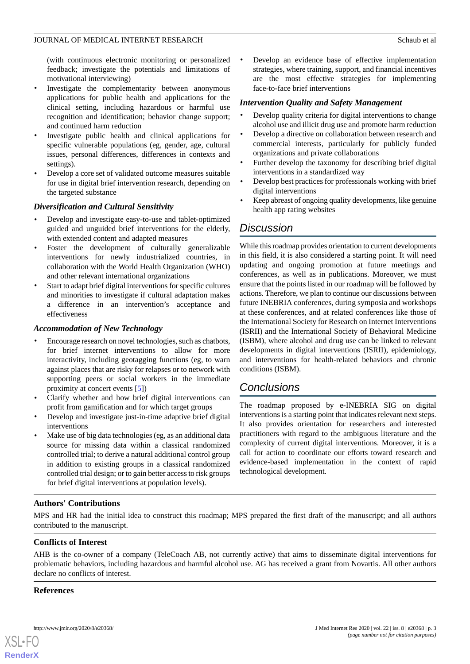## JOURNAL OF MEDICAL INTERNET RESEARCH Schaub et al. Schaub et al.

(with continuous electronic monitoring or personalized feedback; investigate the potentials and limitations of motivational interviewing)

- Investigate the complementarity between anonymous applications for public health and applications for the clinical setting, including hazardous or harmful use recognition and identification; behavior change support; and continued harm reduction
- Investigate public health and clinical applications for specific vulnerable populations (eg, gender, age, cultural issues, personal differences, differences in contexts and settings).
- Develop a core set of validated outcome measures suitable for use in digital brief intervention research, depending on the targeted substance

# *Diversification and Cultural Sensitivity*

- Develop and investigate easy-to-use and tablet-optimized guided and unguided brief interventions for the elderly, with extended content and adapted measures
- Foster the development of culturally generalizable interventions for newly industrialized countries, in collaboration with the World Health Organization (WHO) and other relevant international organizations
- Start to adapt brief digital interventions for specific cultures and minorities to investigate if cultural adaptation makes a difference in an intervention's acceptance and effectiveness

# *Accommodation of New Technology*

- Encourage research on novel technologies, such as chatbots, for brief internet interventions to allow for more interactivity, including geotagging functions (eg, to warn against places that are risky for relapses or to network with supporting peers or social workers in the immediate proximity at concert events [\[5](#page-3-4)])
- Clarify whether and how brief digital interventions can profit from gamification and for which target groups
- Develop and investigate just-in-time adaptive brief digital interventions
- Make use of big data technologies (eg, as an additional data source for missing data within a classical randomized controlled trial; to derive a natural additional control group in addition to existing groups in a classical randomized controlled trial design; or to gain better access to risk groups for brief digital interventions at population levels).

## Develop an evidence base of effective implementation strategies, where training, support, and financial incentives are the most effective strategies for implementing face-to-face brief interventions

# *Intervention Quality and Safety Management*

- Develop quality criteria for digital interventions to change alcohol use and illicit drug use and promote harm reduction
- Develop a directive on collaboration between research and commercial interests, particularly for publicly funded organizations and private collaborations
- Further develop the taxonomy for describing brief digital interventions in a standardized way
- Develop best practices for professionals working with brief digital interventions
- Keep abreast of ongoing quality developments, like genuine health app rating websites

# *Discussion*

While this roadmap provides orientation to current developments in this field, it is also considered a starting point. It will need updating and ongoing promotion at future meetings and conferences, as well as in publications. Moreover, we must ensure that the points listed in our roadmap will be followed by actions. Therefore, we plan to continue our discussions between future INEBRIA conferences, during symposia and workshops at these conferences, and at related conferences like those of the International Society for Research on Internet Interventions (ISRII) and the International Society of Behavioral Medicine (ISBM), where alcohol and drug use can be linked to relevant developments in digital interventions (ISRII), epidemiology, and interventions for health-related behaviors and chronic conditions (ISBM).

# *Conclusions*

The roadmap proposed by e-INEBRIA SIG on digital interventions is a starting point that indicates relevant next steps. It also provides orientation for researchers and interested practitioners with regard to the ambiguous literature and the complexity of current digital interventions. Moreover, it is a call for action to coordinate our efforts toward research and evidence-based implementation in the context of rapid technological development.

# **Authors' Contributions**

MPS and HR had the initial idea to construct this roadmap; MPS prepared the first draft of the manuscript; and all authors contributed to the manuscript.

# **Conflicts of Interest**

AHB is the co-owner of a company (TeleCoach AB, not currently active) that aims to disseminate digital interventions for problematic behaviors, including hazardous and harmful alcohol use. AG has received a grant from Novartis. All other authors declare no conflicts of interest.

## **References**